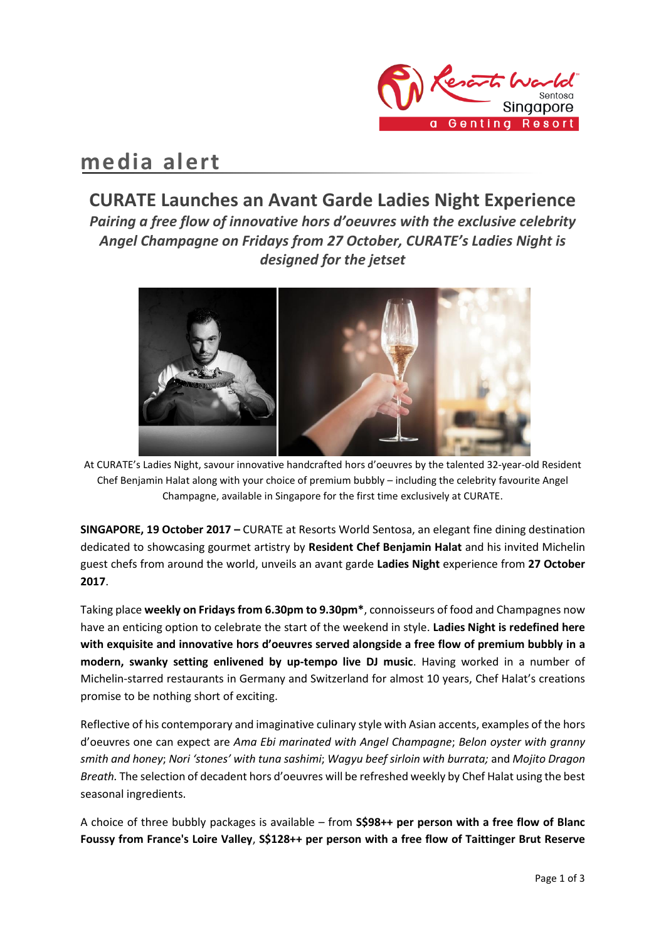

# **media alert**

## **CURATE Launches an Avant Garde Ladies Night Experience** *Pairing a free flow of innovative hors d'oeuvres with the exclusive celebrity Angel Champagne on Fridays from 27 October, CURATE's Ladies Night is designed for the jetset*



At CURATE's Ladies Night, savour innovative handcrafted hors d'oeuvres by the talented 32-year-old Resident Chef Benjamin Halat along with your choice of premium bubbly – including the celebrity favourite Angel Champagne, available in Singapore for the first time exclusively at CURATE.

**SINGAPORE, 19 October 2017 –** CURATE at Resorts World Sentosa, an elegant fine dining destination dedicated to showcasing gourmet artistry by **Resident Chef Benjamin Halat** and his invited Michelin guest chefs from around the world, unveils an avant garde **Ladies Night** experience from **27 October 2017**.

Taking place **weekly on Fridays from 6.30pm to 9.30pm\***, connoisseurs of food and Champagnes now have an enticing option to celebrate the start of the weekend in style. **Ladies Night is redefined here with exquisite and innovative hors d'oeuvres served alongside a free flow of premium bubbly in a modern, swanky setting enlivened by up-tempo live DJ music**. Having worked in a number of Michelin-starred restaurants in Germany and Switzerland for almost 10 years, Chef Halat's creations promise to be nothing short of exciting.

Reflective of his contemporary and imaginative culinary style with Asian accents, examples of the hors d'oeuvres one can expect are *Ama Ebi marinated with Angel Champagne*; *Belon oyster with granny smith and honey*; *Nori 'stones' with tuna sashimi*; *Wagyu beef sirloin with burrata;* and *Mojito Dragon Breath.* The selection of decadent hors d'oeuvres will be refreshed weekly by Chef Halat using the best seasonal ingredients.

A choice of three bubbly packages is available – from **S\$98++ per person with a free flow of Blanc Foussy from France's Loire Valley**, **S\$128++ per person with a free flow of Taittinger Brut Reserve**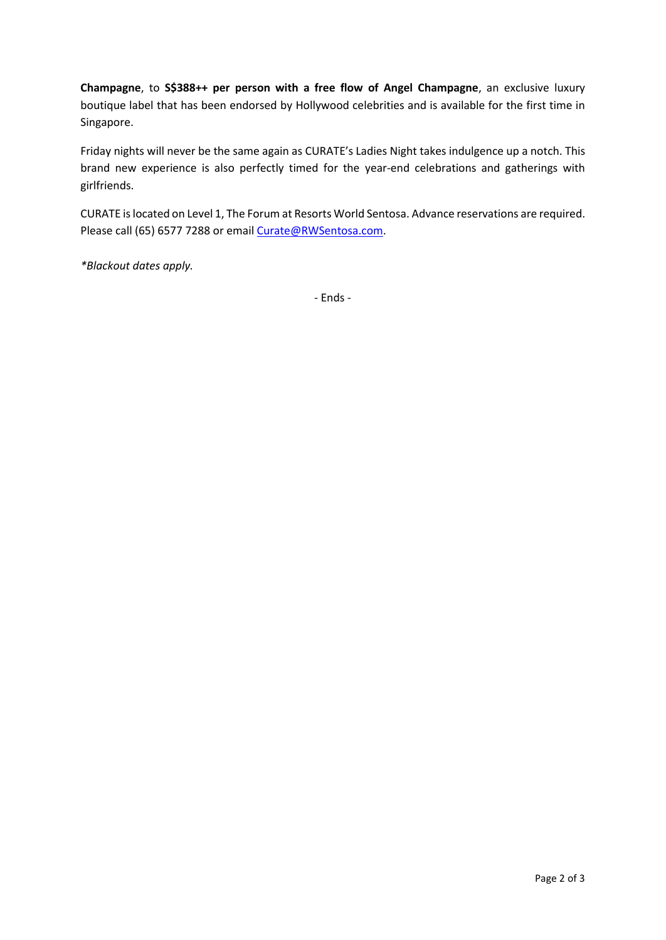**Champagne**, to **S\$388++ per person with a free flow of Angel Champagne**, an exclusive luxury boutique label that has been endorsed by Hollywood celebrities and is available for the first time in Singapore.

Friday nights will never be the same again as CURATE's Ladies Night takes indulgence up a notch. This brand new experience is also perfectly timed for the year-end celebrations and gatherings with girlfriends.

CURATE is located on Level 1, The Forum at Resorts World Sentosa. Advance reservations are required. Please call (65) 6577 7288 or emai[l Curate@RWSentosa.com.](mailto:Curate@RWSentosa.com)

*\*Blackout dates apply.* 

- Ends -